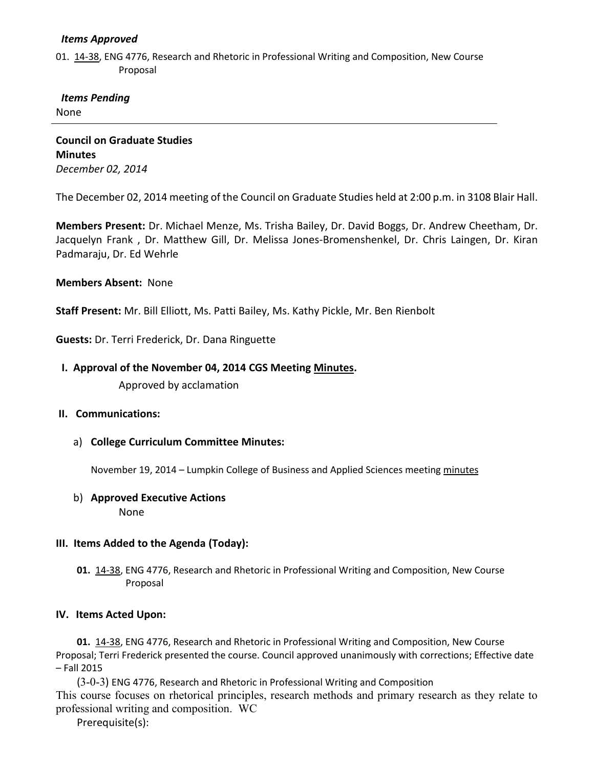#### *Items Approved*

01. [14-38,](http://castle.eiu.edu/~eiucgs/currentagendaitems/agenda14-38.pdf) ENG 4776, Research and Rhetoric in Professional Writing and Composition, New Course Proposal

# *Items Pending*

None

**Council on Graduate Studies Minutes** *December 02, 2014*

The December 02, 2014 meeting of the Council on Graduate Studies held at 2:00 p.m. in 3108 Blair Hall.

**Members Present:** Dr. Michael Menze, Ms. Trisha Bailey, Dr. David Boggs, Dr. Andrew Cheetham, Dr. Jacquelyn Frank , Dr. Matthew Gill, Dr. Melissa Jones-Bromenshenkel, Dr. Chris Laingen, Dr. Kiran Padmaraju, Dr. Ed Wehrle

#### **Members Absent:** None

**Staff Present:** Mr. Bill Elliott, Ms. Patti Bailey, Ms. Kathy Pickle, Mr. Ben Rienbolt

**Guests:** Dr. Terri Frederick, Dr. Dana Ringuette

## **I. Approval of the November 04, 2014 CGS Meeting [Minutes.](http://castle.eiu.edu/eiucgs/currentminutes/Minutes11-04-14.pdf)**

Approved by acclamation

## **II. Communications:**

a) **College Curriculum Committee Minutes:**

November 19, 2014 – Lumpkin College of Business and Applied Sciences meeting [minutes](http://castle.eiu.edu/~eiucgs/currentagendaitems/LCBASMin11-19-14.pdf)

#### b) **Approved Executive Actions**

None

## **III. Items Added to the Agenda (Today):**

**01.** [14-38,](http://castle.eiu.edu/~eiucgs/currentagendaitems/agenda14-38.pdf) ENG 4776, Research and Rhetoric in Professional Writing and Composition, New Course Proposal

#### **IV. Items Acted Upon:**

**01.** [14-38,](http://castle.eiu.edu/~eiucgs/currentagendaitems/agenda14-38.pdf) ENG 4776, Research and Rhetoric in Professional Writing and Composition, New Course Proposal; Terri Frederick presented the course. Council approved unanimously with corrections; Effective date – Fall 2015

(3-0-3) ENG 4776, Research and Rhetoric in Professional Writing and Composition This course focuses on rhetorical principles, research methods and primary research as they relate to professional writing and composition. WC

Prerequisite(s):